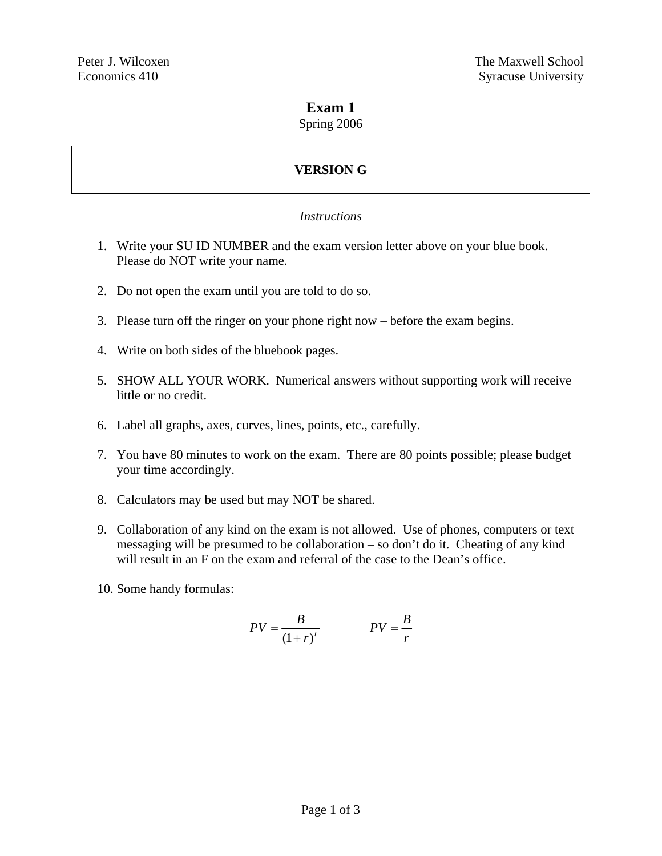# **Exam 1**

#### Spring 2006

# **VERSION G**

#### *Instructions*

- 1. Write your SU ID NUMBER and the exam version letter above on your blue book. Please do NOT write your name.
- 2. Do not open the exam until you are told to do so.
- 3. Please turn off the ringer on your phone right now before the exam begins.
- 4. Write on both sides of the bluebook pages.
- 5. SHOW ALL YOUR WORK. Numerical answers without supporting work will receive little or no credit.
- 6. Label all graphs, axes, curves, lines, points, etc., carefully.
- 7. You have 80 minutes to work on the exam. There are 80 points possible; please budget your time accordingly.
- 8. Calculators may be used but may NOT be shared.
- 9. Collaboration of any kind on the exam is not allowed. Use of phones, computers or text messaging will be presumed to be collaboration – so don't do it. Cheating of any kind will result in an F on the exam and referral of the case to the Dean's office.
- 10. Some handy formulas:

$$
PV = \frac{B}{(1+r)^t}
$$
 
$$
PV = \frac{B}{r}
$$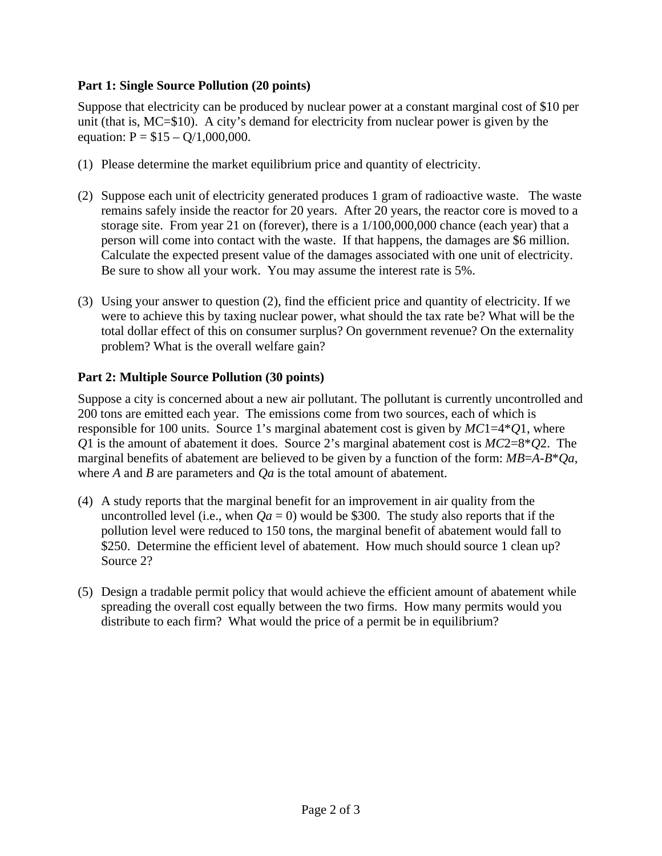## **Part 1: Single Source Pollution (20 points)**

Suppose that electricity can be produced by nuclear power at a constant marginal cost of \$10 per unit (that is, MC=\$10). A city's demand for electricity from nuclear power is given by the equation:  $P = $15 - Q/1,000,000$ .

- (1) Please determine the market equilibrium price and quantity of electricity.
- (2) Suppose each unit of electricity generated produces 1 gram of radioactive waste. The waste remains safely inside the reactor for 20 years. After 20 years, the reactor core is moved to a storage site. From year 21 on (forever), there is a 1/100,000,000 chance (each year) that a person will come into contact with the waste. If that happens, the damages are \$6 million. Calculate the expected present value of the damages associated with one unit of electricity. Be sure to show all your work. You may assume the interest rate is 5%.
- (3) Using your answer to question (2), find the efficient price and quantity of electricity. If we were to achieve this by taxing nuclear power, what should the tax rate be? What will be the total dollar effect of this on consumer surplus? On government revenue? On the externality problem? What is the overall welfare gain?

## **Part 2: Multiple Source Pollution (30 points)**

Suppose a city is concerned about a new air pollutant. The pollutant is currently uncontrolled and 200 tons are emitted each year. The emissions come from two sources, each of which is responsible for 100 units. Source 1's marginal abatement cost is given by *MC*1=4\**Q*1, where *Q*1 is the amount of abatement it does. Source 2's marginal abatement cost is *MC*2=8\**Q*2. The marginal benefits of abatement are believed to be given by a function of the form: *MB*=*A*-*B*\**Qa*, where *A* and *B* are parameters and *Qa* is the total amount of abatement.

- (4) A study reports that the marginal benefit for an improvement in air quality from the uncontrolled level (i.e., when  $Qa = 0$ ) would be \$300. The study also reports that if the pollution level were reduced to 150 tons, the marginal benefit of abatement would fall to \$250. Determine the efficient level of abatement. How much should source 1 clean up? Source 2?
- (5) Design a tradable permit policy that would achieve the efficient amount of abatement while spreading the overall cost equally between the two firms. How many permits would you distribute to each firm? What would the price of a permit be in equilibrium?